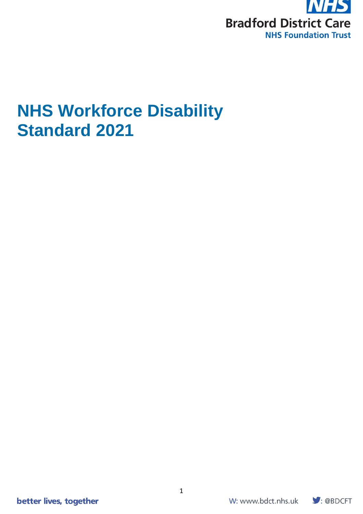

# **NHS Workforce Disability Standard 2021**

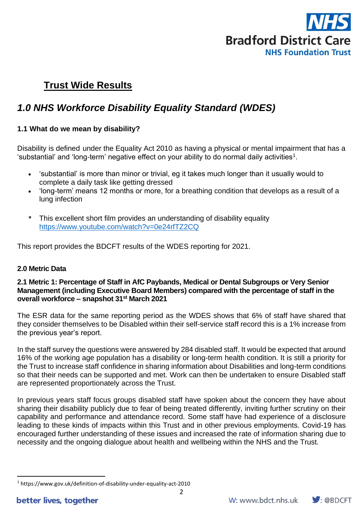

# **Trust Wide Results**

## *1.0 NHS Workforce Disability Equality Standard (WDES)*

## **1.1 What do we mean by disability?**

Disability is defined under the Equality Act 2010 as having a physical or mental impairment that has a 'substantial' and 'long-term' negative effect on your ability to do normal daily activities $^{\rm 1}.$ 

- 'substantial' is more than minor or trivial, eg it takes much longer than it usually would to complete a daily task like getting dressed
- 'long-term' means 12 months or more, for a breathing condition that develops as a result of a lung infection
- This excellent short film provides an understanding of disability equality <https://www.youtube.com/watch?v=0e24rfTZ2CQ>

This report provides the BDCFT results of the WDES reporting for 2021.

## **2.0 Metric Data**

#### **2.1 Metric 1: Percentage of Staff in AfC Paybands, Medical or Dental Subgroups or Very Senior Management (including Executive Board Members) compared with the percentage of staff in the overall workforce – snapshot 31st March 2021**

The ESR data for the same reporting period as the WDES shows that 6% of staff have shared that they consider themselves to be Disabled within their self-service staff record this is a 1% increase from the previous year's report.

In the staff survey the questions were answered by 284 disabled staff. It would be expected that around 16% of the working age population has a disability or long-term health condition. It is still a priority for the Trust to increase staff confidence in sharing information about Disabilities and long-term conditions so that their needs can be supported and met. Work can then be undertaken to ensure Disabled staff are represented proportionately across the Trust.

In previous years staff focus groups disabled staff have spoken about the concern they have about sharing their disability publicly due to fear of being treated differently, inviting further scrutiny on their capability and performance and attendance record. Some staff have had experience of a disclosure leading to these kinds of impacts within this Trust and in other previous employments. Covid-19 has encouraged further understanding of these issues and increased the rate of information sharing due to necessity and the ongoing dialogue about health and wellbeing within the NHS and the Trust.



<sup>1</sup> https://www.gov.uk/definition-of-disability-under-equality-act-2010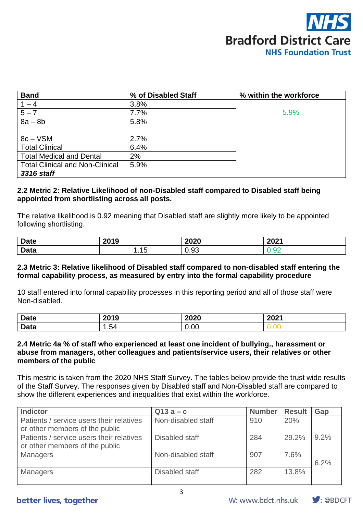

| <b>Band</b>                            | % of Disabled Staff | % within the workforce |
|----------------------------------------|---------------------|------------------------|
| $1 - 4$                                | 3.8%                |                        |
| $5 - 7$                                | 7.7%                | 5.9%                   |
| $8a - 8b$                              | 5.8%                |                        |
|                                        |                     |                        |
| $8c - VSM$                             | 2.7%                |                        |
| <b>Total Clinical</b>                  | 6.4%                |                        |
| <b>Total Medical and Dental</b>        | 2%                  |                        |
| <b>Total Clinical and Non-Clinical</b> | 5.9%                |                        |
| 3316 staff                             |                     |                        |

## **2.2 Metric 2: Relative Likelihood of non-Disabled staff compared to Disabled staff being appointed from shortlisting across all posts.**

The relative likelihood is 0.92 meaning that Disabled staff are slightly more likely to be appointed following shortlisting.

| <b>Date</b> | 2019 | 2020 | 2021   |
|-------------|------|------|--------|
| <b>Data</b> | .    | 0.93 | ,. J 2 |

## **2.3 Metric 3: Relative likelihood of Disabled staff compared to non-disabled staff entering the formal capability process, as measured by entry into the formal capability procedure**

10 staff entered into formal capability processes in this reporting period and all of those staff were Non-disabled.

| <b>Date</b> | 2019                             | 2020 | 2021 |
|-------------|----------------------------------|------|------|
| <b>Data</b> | $\overline{\phantom{0}}$<br>1.54 | 0.00 |      |

#### **2.4 Metric 4a % of staff who experienced at least one incident of bullying., harassment or abuse from managers, other colleagues and patients/service users, their relatives or other members of the public**

This mestric is taken from the 2020 NHS Staff Survey. The tables below provide the trust wide results of the Staff Survey. The responses given by Disabled staff and Non-Disabled staff are compared to show the different experiences and inequalities that exist within the workforce.

| <b>Indictor</b>                                                            | $Q13a - c$         | <b>Number</b> | <b>Result</b> | Gap  |
|----------------------------------------------------------------------------|--------------------|---------------|---------------|------|
| Patients / service users their relatives<br>or other members of the public | Non-disabled staff | 910           | 20%           |      |
| Patients / service users their relatives                                   | Disabled staff     | 284           | 29.2%         | 9.2% |
| or other members of the public                                             |                    |               |               |      |
| <b>Managers</b>                                                            | Non-disabled staff | 907           | 7.6%          |      |
|                                                                            |                    |               |               | 6.2% |
| <b>Managers</b>                                                            | Disabled staff     | 282           | 13.8%         |      |

## better lives, together

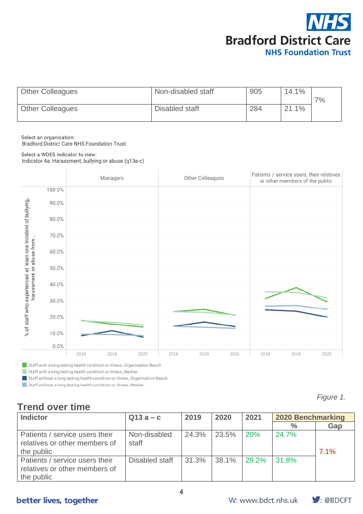

| <b>Other Colleagues</b> | Non-disabled staff | 905 | 14.1% | 7% |
|-------------------------|--------------------|-----|-------|----|
| <b>Other Colleagues</b> | Disabled staff     | 284 | 21.1% |    |

Select an organisation:

Bradford District Care NHS Foundation Trust

Select a WDES indicator to view:

Indicator 4a: Harassment, bullying or abuse (q13a-c)

|                                                               |        |      | Managers |      |      | Other Colleagues |      |      | Patients / service users, their relatives<br>or other members of the public |      |
|---------------------------------------------------------------|--------|------|----------|------|------|------------------|------|------|-----------------------------------------------------------------------------|------|
|                                                               | 100.0% |      |          |      |      |                  |      |      |                                                                             |      |
|                                                               | 90.0%  |      |          |      |      |                  |      |      |                                                                             |      |
|                                                               | 80.0%  |      |          |      |      |                  |      |      |                                                                             |      |
|                                                               | 70.0%  |      |          |      |      |                  |      |      |                                                                             |      |
|                                                               | 60.0%  |      |          |      |      |                  |      |      |                                                                             |      |
| harassment or abuse from.                                     | 50.0%  |      |          |      |      |                  |      |      |                                                                             |      |
|                                                               | 40.0%  |      |          |      |      |                  |      |      |                                                                             |      |
|                                                               | 30.0%  |      |          |      |      |                  |      |      |                                                                             |      |
| % of staff who experienced at least one incident of bullying, | 20.0%  |      |          |      |      |                  |      |      |                                                                             |      |
|                                                               | 10.0%  |      |          |      |      |                  |      |      |                                                                             |      |
|                                                               | 0.0%   |      |          |      |      |                  |      |      |                                                                             |      |
|                                                               |        | 2018 | 2019     | 2020 | 2018 | 2019             | 2020 | 2018 | 2019                                                                        | 2020 |

Staff with a long lasting health condition or illness, Organisation Result

Staff with a long lasting health condition or illness, Median

Staff without a long lasting health condition or illness, Organisation Result

Staff without a long lasting health condition or illness, Median

## **Trend over time**

| <b>Indictor</b>                                                               | $Q13a-c$              | 2019  | 2020  | 2021       | 2020 Benchmarking |      |
|-------------------------------------------------------------------------------|-----------------------|-------|-------|------------|-------------------|------|
|                                                                               |                       |       |       |            | $\frac{0}{0}$     | Gap  |
| Patients / service users their<br>relatives or other members of<br>the public | Non-disabled<br>staff | 24.3% | 23.5% | <b>20%</b> | 24.7%             | 7.1% |
| Patients / service users their<br>relatives or other members of<br>the public | Disabled staff        | 31.3% | 38.1% | 29.2%      | 31.8%             |      |

## better lives, together



*Figure 1.*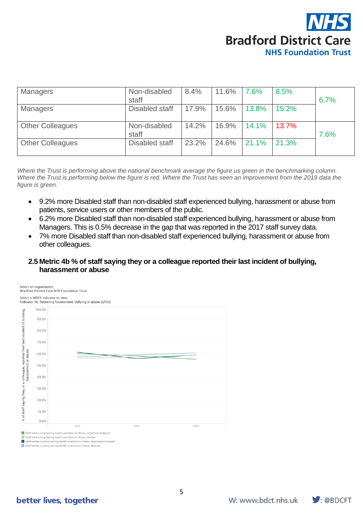

| Managers                | Non-disabled<br>staff | 8.4%  | 11.6% | 7.6%  | 8.5%  | 6.7% |
|-------------------------|-----------------------|-------|-------|-------|-------|------|
| Managers                | Disabled staff        | 17.9% | 15.6% | 13.8% | 15.2% |      |
| <b>Other Colleagues</b> | Non-disabled<br>staff | 14.2% | 16.9% | 14.1% | 13.7% | 7.6% |
| <b>Other Colleagues</b> | Disabled staff        | 23.2% | 24.6% | 21.1% | 21.3% |      |

Where the Trust is performing above the national benchmark average the figure us green in the benchmarking column. *Where the Trust is performing below the figure is red. Where the Trust has seen an improvement from the 2019 data the figure is green.*

- 9.2% more Disabled staff than non-disabled staff experienced bullying, harassment or abuse from patients, service users or other members of the public.
- 6.2% more Disabled staff than non-disabled staff experienced bullying, harassment or abuse from Managers. This is 0.5% decrease in the gap that was reported in the 2017 staff survey data.
- 7% more Disabled staff than non-disabled staff experienced bullying, harassment or abuse from other colleagues.
- **2.5 Metric 4b % of staff saying they or a colleague reported their last incident of bullying, harassment or abuse**



Staff with a long lasting health condition or illness, Median

Staff without a long lasting health condition or illness. Organisation Result Staff without a long lasting health condition or illness, Median

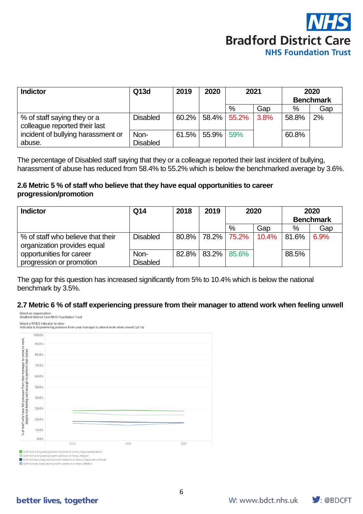

| <b>Indictor</b>                                              | Q13d            | 2019 | 2020                 | 2021 |      |       | 2020<br><b>Benchmark</b> |
|--------------------------------------------------------------|-----------------|------|----------------------|------|------|-------|--------------------------|
|                                                              |                 |      |                      | %    | Gap  | %     | Gap                      |
| % of staff saying they or a<br>colleague reported their last | <b>Disabled</b> |      | $60.2\%$ 58.4% 55.2% |      | 3.8% | 58.8% | 2%                       |
| incident of bullying harassment or                           | Non-            |      | $61.5\%$ 55.9%       | 59%  |      | 60.8% |                          |
| abuse.                                                       | <b>Disabled</b> |      |                      |      |      |       |                          |

The percentage of Disabled staff saying that they or a colleague reported their last incident of bullying, harassment of abuse has reduced from 58.4% to 55.2% which is below the benchmarked average by 3.6%.

#### **2.6 Metric 5 % of staff who believe that they have equal opportunities to career progression/promotion**

| <b>Indictor</b>                   | Q14             | 2018 | 2019                 | 2020                     |       | 2020  |                  |
|-----------------------------------|-----------------|------|----------------------|--------------------------|-------|-------|------------------|
|                                   |                 |      |                      |                          |       |       | <b>Benchmark</b> |
|                                   |                 |      |                      | %                        | Gap   | %     | Gap              |
| % of staff who believe that their | <b>Disabled</b> |      |                      | $80.8\%$   78.2%   75.2% | 10.4% | 81.6% | 6.9%             |
| organization provides equal       |                 |      |                      |                          |       |       |                  |
| opportunities for career          | Non-            |      | $82.8\%$ 83.2% 85.6% |                          |       | 88.5% |                  |
| progression or promotion          | <b>Disabled</b> |      |                      |                          |       |       |                  |

The gap for this question has increased significantly from 5% to 10.4% which is below the national benchmark by 3.5%.

## **2.7 Metric 6 % of staff experiencing pressure from their manager to attend work when feeling unwell**



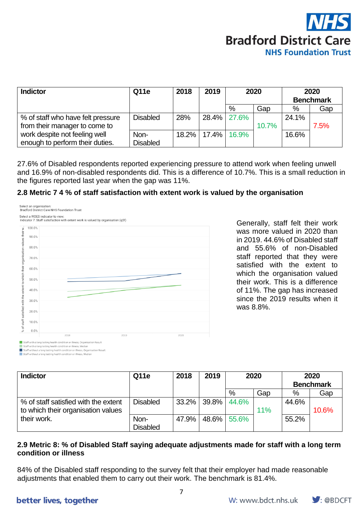

| <b>Indictor</b>                   | Q11e            | 2018 | 2019          | 2020        |       |       | 2020<br><b>Benchmark</b> |
|-----------------------------------|-----------------|------|---------------|-------------|-------|-------|--------------------------|
|                                   |                 |      |               | %           | Gap   | %     | Gap                      |
| % of staff who have felt pressure | Disabled        | 28%  |               | 28.4% 27.6% |       | 24.1% |                          |
| from their manager to come to     |                 |      |               |             | 10.7% |       | 7.5%                     |
| work despite not feeling well     | Non-            |      | 18.2%   17.4% | 16.9%       |       | 16.6% |                          |
| enough to perform their duties.   | <b>Disabled</b> |      |               |             |       |       |                          |

27.6% of Disabled respondents reported experiencing pressure to attend work when feeling unwell and 16.9% of non-disabled respondents did. This is a difference of 10.7%. This is a small reduction in the figures reported last year when the gap was 11%.

#### **2.8 Metric 7 4 % of staff satisfaction with extent work is valued by the organisation**



Generally, staff felt their work was more valued in 2020 than in 2019. 44.6% of Disabled staff and 55.6% of non-Disabled staff reported that they were satisfied with the extent to which the organisation valued their work. This is a difference of 11%. The gap has increased since the 2019 results when it was 8.8%.

**Indictor Q11e 2018 2019 2020 2020 Benchmark** % Gap % Gap % of staff satisfied with the extent to which their organisation values their work. Disabled  $|33.2\%|39.8\%|44.6\%$ 11% 44.6% 10.6% Non-Disabled  $47.9\%$  |  $48.6\%$  |  $55.6\%$  |  $\qquad$  | 55.2%

## **2.9 Metric 8: % of Disabled Staff saying adequate adjustments made for staff with a long term condition or illness**

84% of the Disabled staff responding to the survey felt that their employer had made reasonable adjustments that enabled them to carry out their work. The benchmark is 81.4%.

## better lives, together

Staff without a long lasting health condition or illness, Median